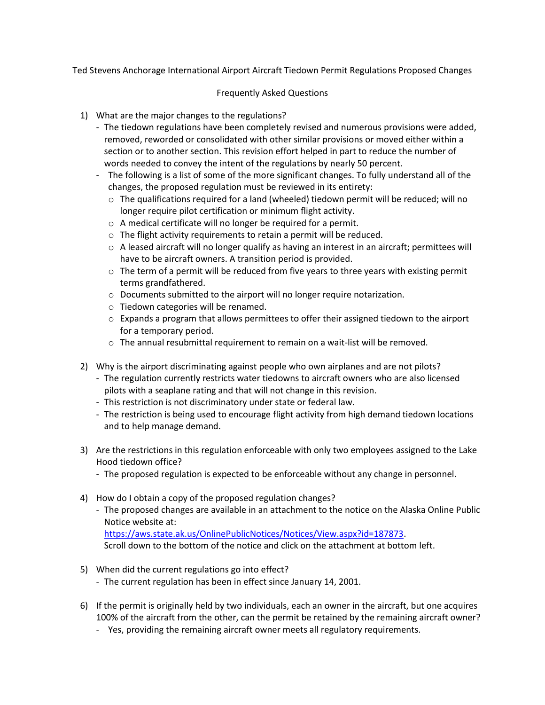## Ted Stevens Anchorage International Airport Aircraft Tiedown Permit Regulations Proposed Changes

## Frequently Asked Questions

- 1) What are the major changes to the regulations?
	- The tiedown regulations have been completely revised and numerous provisions were added, removed, reworded or consolidated with other similar provisions or moved either within a section or to another section. This revision effort helped in part to reduce the number of words needed to convey the intent of the regulations by nearly 50 percent.
	- The following is a list of some of the more significant changes. To fully understand all of the changes, the proposed regulation must be reviewed in its entirety:
		- $\circ$  The qualifications required for a land (wheeled) tiedown permit will be reduced; will no longer require pilot certification or minimum flight activity.
		- o A medical certificate will no longer be required for a permit.
		- o The flight activity requirements to retain a permit will be reduced.
		- $\circ$  A leased aircraft will no longer qualify as having an interest in an aircraft; permittees will have to be aircraft owners. A transition period is provided.
		- $\circ$  The term of a permit will be reduced from five years to three years with existing permit terms grandfathered.
		- o Documents submitted to the airport will no longer require notarization.
		- o Tiedown categories will be renamed.
		- o Expands a program that allows permittees to offer their assigned tiedown to the airport for a temporary period.
		- o The annual resubmittal requirement to remain on a wait-list will be removed.
- 2) Why is the airport discriminating against people who own airplanes and are not pilots?
	- The regulation currently restricts water tiedowns to aircraft owners who are also licensed pilots with a seaplane rating and that will not change in this revision.
	- This restriction is not discriminatory under state or federal law.
	- The restriction is being used to encourage flight activity from high demand tiedown locations and to help manage demand.
- 3) Are the restrictions in this regulation enforceable with only two employees assigned to the Lake Hood tiedown office?
	- The proposed regulation is expected to be enforceable without any change in personnel.
- 4) How do I obtain a copy of the proposed regulation changes?
	- The proposed changes are available in an attachment to the notice on the Alaska Online Public Notice website at:

[https://aws.state.ak.us/OnlinePublicNotices/Notices/View.aspx?id=187873.](https://aws.state.ak.us/OnlinePublicNotices/Notices/View.aspx?id=187873) Scroll down to the bottom of the notice and click on the attachment at bottom left.

- 5) When did the current regulations go into effect?
	- The current regulation has been in effect since January 14, 2001.
- 6) If the permit is originally held by two individuals, each an owner in the aircraft, but one acquires 100% of the aircraft from the other, can the permit be retained by the remaining aircraft owner?
	- Yes, providing the remaining aircraft owner meets all regulatory requirements.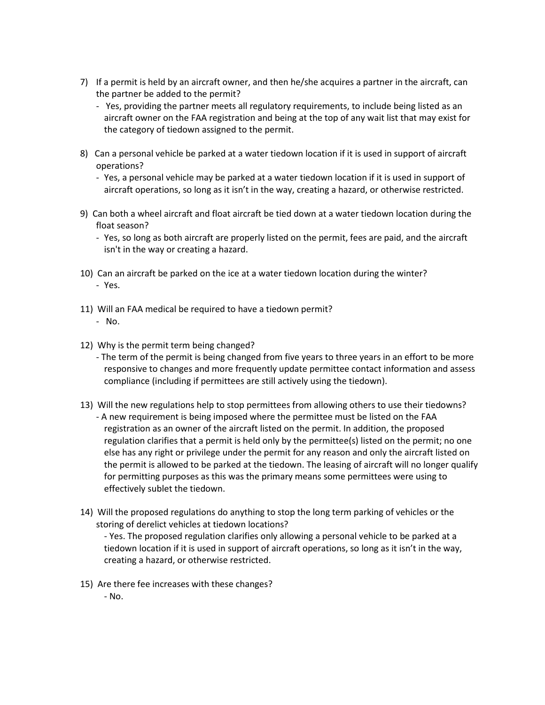- 7) If a permit is held by an aircraft owner, and then he/she acquires a partner in the aircraft, can the partner be added to the permit?
	- Yes, providing the partner meets all regulatory requirements, to include being listed as an aircraft owner on the FAA registration and being at the top of any wait list that may exist for the category of tiedown assigned to the permit.
- 8) Can a personal vehicle be parked at a water tiedown location if it is used in support of aircraft operations?
	- Yes, a personal vehicle may be parked at a water tiedown location if it is used in support of aircraft operations, so long as it isn't in the way, creating a hazard, or otherwise restricted.
- 9) Can both a wheel aircraft and float aircraft be tied down at a water tiedown location during the float season?
	- Yes, so long as both aircraft are properly listed on the permit, fees are paid, and the aircraft isn't in the way or creating a hazard.
- 10) Can an aircraft be parked on the ice at a water tiedown location during the winter? - Yes.
- 11) Will an FAA medical be required to have a tiedown permit?
	- No.
- 12) Why is the permit term being changed?
	- The term of the permit is being changed from five years to three years in an effort to be more responsive to changes and more frequently update permittee contact information and assess compliance (including if permittees are still actively using the tiedown).
- 13) Will the new regulations help to stop permittees from allowing others to use their tiedowns?
	- A new requirement is being imposed where the permittee must be listed on the FAA registration as an owner of the aircraft listed on the permit. In addition, the proposed regulation clarifies that a permit is held only by the permittee(s) listed on the permit; no one else has any right or privilege under the permit for any reason and only the aircraft listed on the permit is allowed to be parked at the tiedown. The leasing of aircraft will no longer qualify for permitting purposes as this was the primary means some permittees were using to effectively sublet the tiedown.
- 14) Will the proposed regulations do anything to stop the long term parking of vehicles or the storing of derelict vehicles at tiedown locations?

- Yes. The proposed regulation clarifies only allowing a personal vehicle to be parked at a tiedown location if it is used in support of aircraft operations, so long as it isn't in the way, creating a hazard, or otherwise restricted.

- 15) Are there fee increases with these changes?
	- No.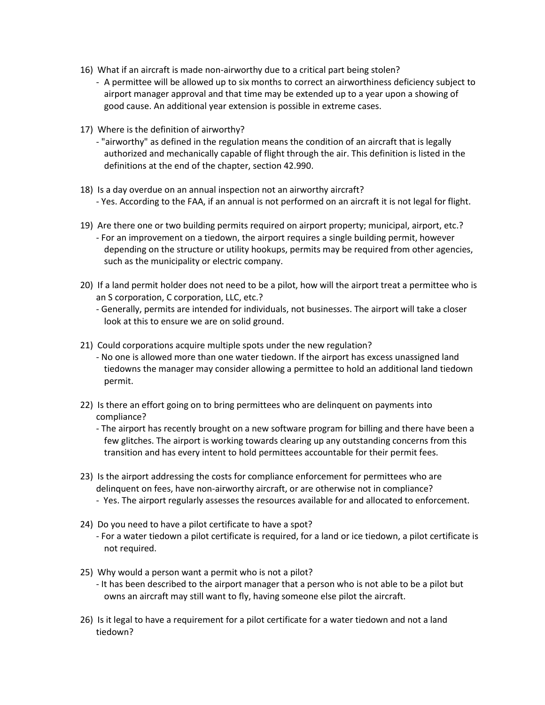- 16) What if an aircraft is made non-airworthy due to a critical part being stolen?
	- A permittee will be allowed up to six months to correct an airworthiness deficiency subject to airport manager approval and that time may be extended up to a year upon a showing of good cause. An additional year extension is possible in extreme cases.
- 17) Where is the definition of airworthy?
	- "airworthy" as defined in the regulation means the condition of an aircraft that is legally authorized and mechanically capable of flight through the air. This definition is listed in the definitions at the end of the chapter, section 42.990.
- 18) Is a day overdue on an annual inspection not an airworthy aircraft? - Yes. According to the FAA, if an annual is not performed on an aircraft it is not legal for flight.
- 19) Are there one or two building permits required on airport property; municipal, airport, etc.? - For an improvement on a tiedown, the airport requires a single building permit, however depending on the structure or utility hookups, permits may be required from other agencies, such as the municipality or electric company.
- 20) If a land permit holder does not need to be a pilot, how will the airport treat a permittee who is an S corporation, C corporation, LLC, etc.?
	- Generally, permits are intended for individuals, not businesses. The airport will take a closer look at this to ensure we are on solid ground.
- 21) Could corporations acquire multiple spots under the new regulation?
	- No one is allowed more than one water tiedown. If the airport has excess unassigned land tiedowns the manager may consider allowing a permittee to hold an additional land tiedown permit.
- 22) Is there an effort going on to bring permittees who are delinquent on payments into compliance?
	- The airport has recently brought on a new software program for billing and there have been a few glitches. The airport is working towards clearing up any outstanding concerns from this transition and has every intent to hold permittees accountable for their permit fees.
- 23) Is the airport addressing the costs for compliance enforcement for permittees who are delinquent on fees, have non-airworthy aircraft, or are otherwise not in compliance?
	- Yes. The airport regularly assesses the resources available for and allocated to enforcement.
- 24) Do you need to have a pilot certificate to have a spot?
	- For a water tiedown a pilot certificate is required, for a land or ice tiedown, a pilot certificate is not required.
- 25) Why would a person want a permit who is not a pilot?
	- It has been described to the airport manager that a person who is not able to be a pilot but owns an aircraft may still want to fly, having someone else pilot the aircraft.
- 26) Is it legal to have a requirement for a pilot certificate for a water tiedown and not a land tiedown?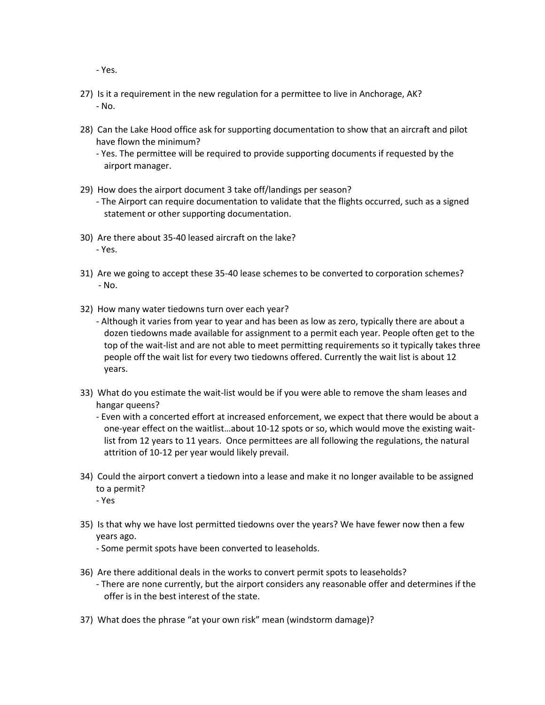- Yes.

- 27) Is it a requirement in the new regulation for a permittee to live in Anchorage, AK? - No.
- 28) Can the Lake Hood office ask for supporting documentation to show that an aircraft and pilot have flown the minimum?
	- Yes. The permittee will be required to provide supporting documents if requested by the airport manager.
- 29) How does the airport document 3 take off/landings per season?
	- The Airport can require documentation to validate that the flights occurred, such as a signed statement or other supporting documentation.
- 30) Are there about 35-40 leased aircraft on the lake? - Yes.
- 31) Are we going to accept these 35-40 lease schemes to be converted to corporation schemes? - No.
- 32) How many water tiedowns turn over each year?
	- Although it varies from year to year and has been as low as zero, typically there are about a dozen tiedowns made available for assignment to a permit each year. People often get to the top of the wait-list and are not able to meet permitting requirements so it typically takes three people off the wait list for every two tiedowns offered. Currently the wait list is about 12 years.
- 33) What do you estimate the wait-list would be if you were able to remove the sham leases and hangar queens?
	- Even with a concerted effort at increased enforcement, we expect that there would be about a one-year effect on the waitlist…about 10-12 spots or so, which would move the existing waitlist from 12 years to 11 years. Once permittees are all following the regulations, the natural attrition of 10-12 per year would likely prevail.
- 34) Could the airport convert a tiedown into a lease and make it no longer available to be assigned to a permit?
	- Yes
- 35) Is that why we have lost permitted tiedowns over the years? We have fewer now then a few years ago.
	- Some permit spots have been converted to leaseholds.
- 36) Are there additional deals in the works to convert permit spots to leaseholds? - There are none currently, but the airport considers any reasonable offer and determines if the offer is in the best interest of the state.
- 37) What does the phrase "at your own risk" mean (windstorm damage)?